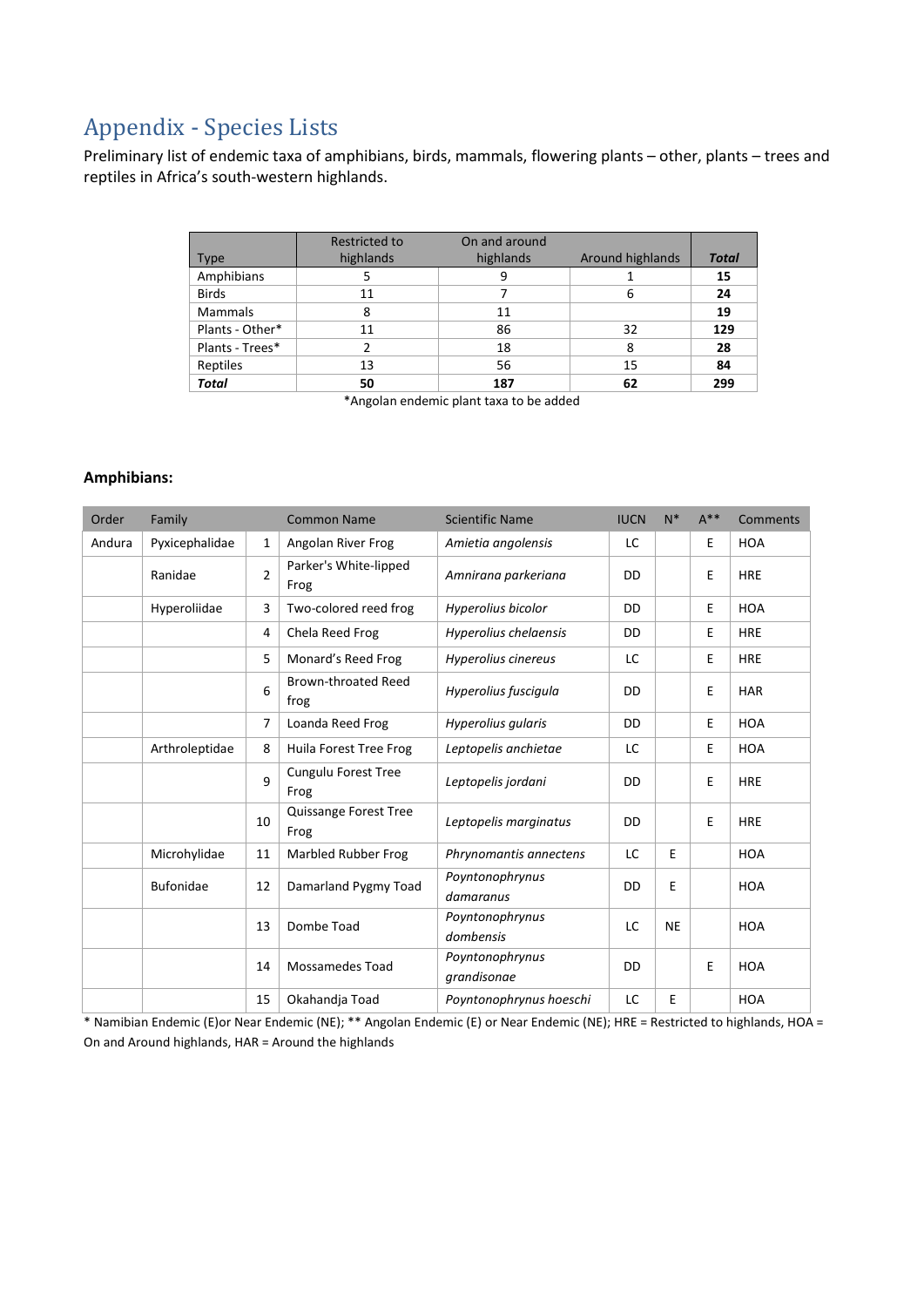# Appendix - Species Lists

Preliminary list of endemic taxa of amphibians, birds, mammals, flowering plants – other, plants – trees and reptiles in Africa's south-western highlands.

|                 | Restricted to | On and around |                  |              |
|-----------------|---------------|---------------|------------------|--------------|
| <b>Type</b>     | highlands     | highlands     | Around highlands | <b>Total</b> |
| Amphibians      |               | 9             |                  | 15           |
| <b>Birds</b>    | 11            |               | 6                | 24           |
| <b>Mammals</b>  | 8             | 11            |                  | 19           |
| Plants - Other* | 11            | 86            | 32               | 129          |
| Plants - Trees* |               | 18            | 8                | 28           |
| Reptiles        | 13            | 56            | 15               | 84           |
| <b>Total</b>    | 50            | 187           | 62               | 299          |

\*Angolan endemic plant taxa to be added

#### **Amphibians:**

| Order  | Family           |              | <b>Common Name</b>                 | <b>Scientific Name</b>         | <b>IUCN</b> | $N^*$     | $A***$ | <b>Comments</b> |
|--------|------------------|--------------|------------------------------------|--------------------------------|-------------|-----------|--------|-----------------|
| Andura | Pyxicephalidae   | $\mathbf{1}$ | Angolan River Frog                 | Amietia angolensis             | LC          |           | E      | <b>HOA</b>      |
|        | Ranidae          | 2            | Parker's White-lipped<br>Frog      | Amnirana parkeriana            | DD          |           | Е      | <b>HRE</b>      |
|        | Hyperoliidae     | 3            | Two-colored reed frog              | Hyperolius bicolor             | DD          |           | E      | <b>HOA</b>      |
|        |                  | 4            | Chela Reed Frog                    | Hyperolius chelaensis          | DD          |           | E      | <b>HRE</b>      |
|        |                  | 5            | Monard's Reed Frog                 | Hyperolius cinereus            | LC          |           | Ε      | <b>HRE</b>      |
|        |                  | 6            | <b>Brown-throated Reed</b><br>frog | Hyperolius fuscigula           | DD          |           | E      | <b>HAR</b>      |
|        |                  | 7            | Loanda Reed Frog                   | Hyperolius gularis             | DD          |           | E      | <b>HOA</b>      |
|        | Arthroleptidae   | 8            | Huila Forest Tree Frog             | Leptopelis anchietae           | LC          |           | E      | <b>HOA</b>      |
|        |                  | 9            | <b>Cungulu Forest Tree</b><br>Frog | Leptopelis jordani             | DD          |           | E      | <b>HRE</b>      |
|        |                  | 10           | Quissange Forest Tree<br>Frog      | Leptopelis marginatus          | DD          |           | E      | <b>HRE</b>      |
|        | Microhylidae     | 11           | Marbled Rubber Frog                | Phrynomantis annectens         | LC          | E         |        | <b>HOA</b>      |
|        | <b>Bufonidae</b> | 12           | Damarland Pygmy Toad               | Poyntonophrynus<br>damaranus   | DD          | Е         |        | <b>HOA</b>      |
|        |                  | 13           | Dombe Toad                         | Poyntonophrynus<br>dombensis   | LC          | <b>NE</b> |        | <b>HOA</b>      |
|        |                  | 14           | <b>Mossamedes Toad</b>             | Poyntonophrynus<br>grandisonae | DD          |           | E      | <b>HOA</b>      |
|        |                  | 15           | Okahandja Toad                     | Poyntonophrynus hoeschi        | LC          | E         |        | <b>HOA</b>      |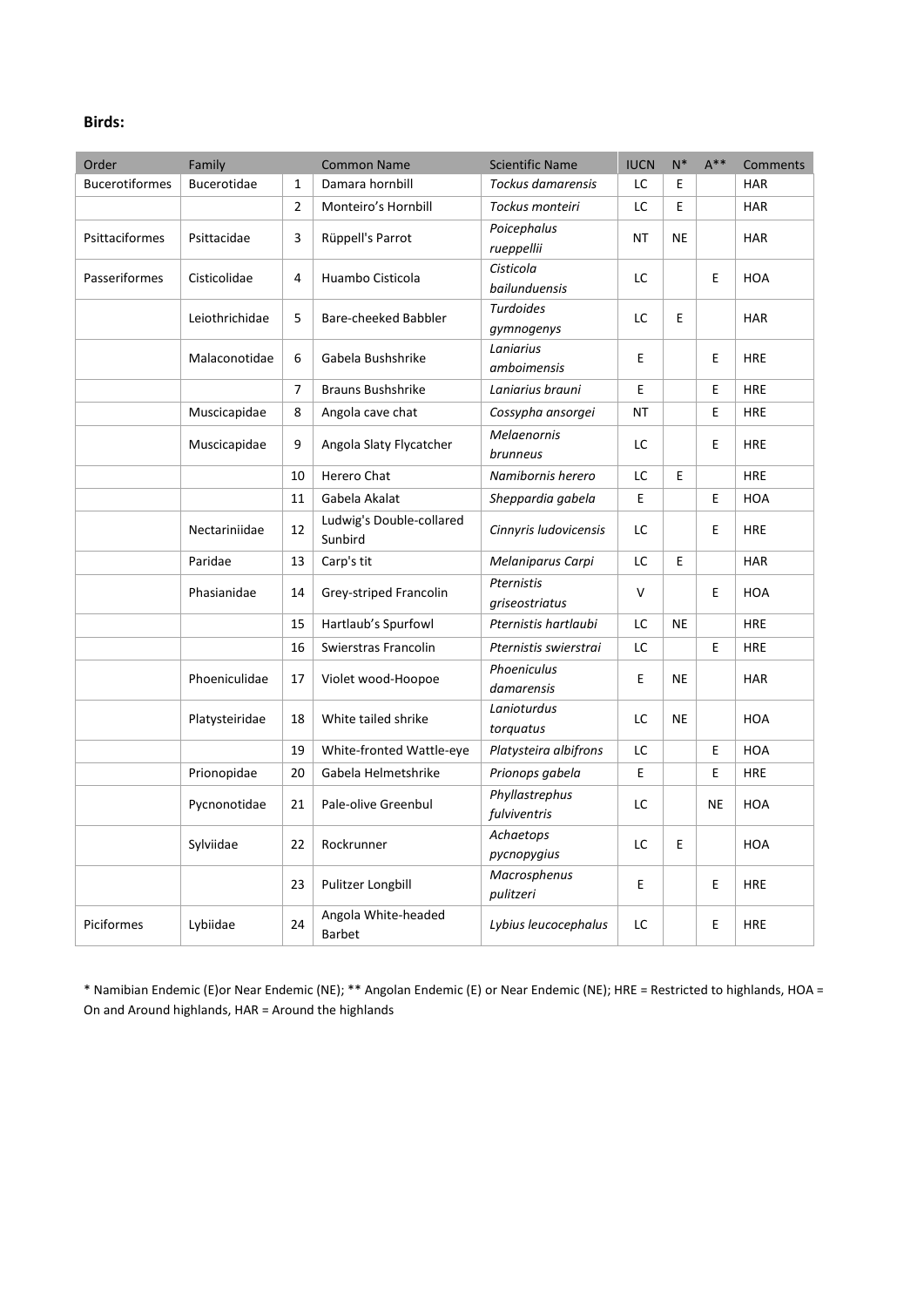#### **Birds:**

| Order                 | Family         |                | <b>Common Name</b>                   | <b>Scientific Name</b>         | <b>IUCN</b> | $N^*$     | $A***$ | Comments   |
|-----------------------|----------------|----------------|--------------------------------------|--------------------------------|-------------|-----------|--------|------------|
| <b>Bucerotiformes</b> | Bucerotidae    | 1              | Damara hornbill                      | <b>Tockus damarensis</b>       | LC          | Е         |        | <b>HAR</b> |
|                       |                | $\overline{2}$ | Monteiro's Hornbill                  | Tockus monteiri                | LC          | E.        |        | <b>HAR</b> |
| Psittaciformes        | Psittacidae    | 3              | Rüppell's Parrot                     | Poicephalus<br>rueppellii      | ΝT          | NE        |        | <b>HAR</b> |
| Passeriformes         | Cisticolidae   | 4              | Huambo Cisticola                     | Cisticola<br>bailunduensis     | LC.         |           | E      | <b>HOA</b> |
|                       | Leiothrichidae | 5              | Bare-cheeked Babbler                 | <b>Turdoides</b><br>gymnogenys | LC          | E         |        | <b>HAR</b> |
|                       | Malaconotidae  | 6              | Gabela Bushshrike                    | Laniarius<br>amboimensis       | E           |           | E      | <b>HRE</b> |
|                       |                | 7              | Brauns Bushshrike                    | Laniarius brauni               | E           |           | E      | <b>HRE</b> |
|                       | Muscicapidae   | 8              | Angola cave chat                     | Cossypha ansorgei              | NT          |           | E      | <b>HRE</b> |
|                       | Muscicapidae   | 9              | Angola Slaty Flycatcher              | <b>Melaenornis</b><br>brunneus | LC          |           | E.     | <b>HRE</b> |
|                       |                | 10             | Herero Chat                          | Namibornis herero              | LC          | E         |        | <b>HRE</b> |
|                       |                | 11             | Gabela Akalat                        | Sheppardia gabela              | E           |           | E      | <b>HOA</b> |
|                       | Nectariniidae  | 12             | Ludwig's Double-collared<br>Sunbird  | Cinnyris ludovicensis          | LC.         |           | E      | <b>HRE</b> |
|                       | Paridae        | 13             | Carp's tit                           | Melaniparus Carpi              | LC          | E         |        | <b>HAR</b> |
|                       | Phasianidae    | 14             | Grey-striped Francolin               | Pternistis<br>griseostriatus   | $\vee$      |           | E      | <b>HOA</b> |
|                       |                | 15             | Hartlaub's Spurfowl                  | Pternistis hartlaubi           | LC          | <b>NE</b> |        | <b>HRE</b> |
|                       |                | 16             | Swierstras Francolin                 | Pternistis swierstrai          | LC          |           | E      | <b>HRE</b> |
|                       | Phoeniculidae  | 17             | Violet wood-Hoopoe                   | Phoeniculus<br>damarensis      | E           | <b>NE</b> |        | <b>HAR</b> |
|                       | Platysteiridae | 18             | White tailed shrike                  | Lanioturdus<br>torquatus       | LC          | NE        |        | <b>HOA</b> |
|                       |                | 19             | White-fronted Wattle-eye             | Platysteira albifrons          | LC          |           | E      | <b>HOA</b> |
|                       | Prionopidae    | 20             | Gabela Helmetshrike                  | Prionops gabela                | E           |           | E      | <b>HRE</b> |
|                       | Pycnonotidae   | 21             | Pale-olive Greenbul                  | Phyllastrephus<br>fulviventris | LC.         |           | NE     | <b>HOA</b> |
|                       | Sylviidae      | 22             | Rockrunner                           | Achaetops<br>pycnopygius       | LC.         | E         |        | <b>HOA</b> |
|                       |                | 23             | Pulitzer Longbill                    | Macrosphenus<br>pulitzeri      | E           |           | E      | <b>HRE</b> |
| Piciformes            | Lybiidae       | 24             | Angola White-headed<br><b>Barbet</b> | Lybius leucocephalus           | LC          |           | E      | <b>HRE</b> |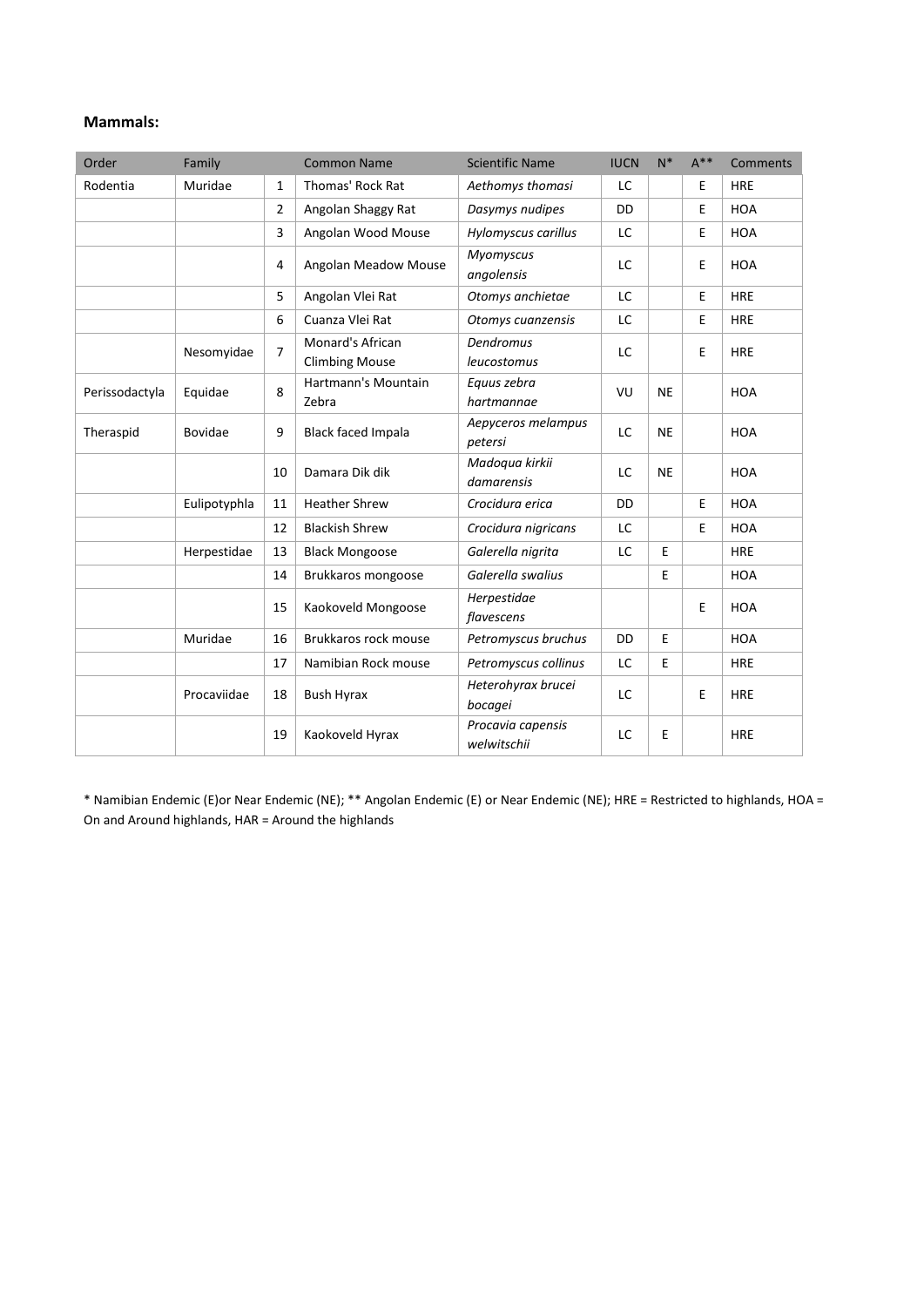#### **Mammals:**

| Order          | Family       |    | <b>Common Name</b>                        | <b>Scientific Name</b>           | <b>IUCN</b> | $N^*$     | $A***$ | Comments   |
|----------------|--------------|----|-------------------------------------------|----------------------------------|-------------|-----------|--------|------------|
| Rodentia       | Muridae      | 1  | Thomas' Rock Rat                          | Aethomys thomasi                 | LC          |           | E      | <b>HRE</b> |
|                |              | 2  | Angolan Shaggy Rat                        | Dasymys nudipes                  | <b>DD</b>   |           | Ε      | <b>HOA</b> |
|                |              | 3  | Angolan Wood Mouse                        | Hylomyscus carillus              | LC          |           | E      | <b>HOA</b> |
|                |              | 4  | Angolan Meadow Mouse                      | <b>Myomyscus</b><br>angolensis   | LC          |           | E      | <b>HOA</b> |
|                |              | 5  | Angolan Vlei Rat                          | Otomys anchietae                 | LC          |           | E      | <b>HRE</b> |
|                |              | 6  | Cuanza Vlei Rat                           | Otomys cuanzensis                | LC          |           | E      | <b>HRE</b> |
|                | Nesomyidae   | 7  | Monard's African<br><b>Climbing Mouse</b> | Dendromus<br>leucostomus         | LC          |           | E      | <b>HRE</b> |
| Perissodactyla | Equidae      | 8  | Hartmann's Mountain<br>Zebra              | Equus zebra<br>hartmannae        | VU          | <b>NE</b> |        | <b>HOA</b> |
| Theraspid      | Bovidae      | 9  | <b>Black faced Impala</b>                 | Aepyceros melampus<br>petersi    | LC          | <b>NE</b> |        | <b>HOA</b> |
|                |              | 10 | Damara Dik dik                            | Madoqua kirkii<br>damarensis     | <b>LC</b>   | <b>NE</b> |        | <b>HOA</b> |
|                | Eulipotyphla | 11 | <b>Heather Shrew</b>                      | Crocidura erica                  | DD          |           | E      | <b>HOA</b> |
|                |              | 12 | <b>Blackish Shrew</b>                     | Crocidura nigricans              | LC          |           | E      | <b>HOA</b> |
|                | Herpestidae  | 13 | <b>Black Mongoose</b>                     | Galerella nigrita                | LC          | E         |        | <b>HRE</b> |
|                |              | 14 | Brukkaros mongoose                        | Galerella swalius                |             | E         |        | <b>HOA</b> |
|                |              | 15 | Kaokoveld Mongoose                        | Herpestidae<br>flavescens        |             |           | E      | <b>HOA</b> |
|                | Muridae      | 16 | Brukkaros rock mouse                      | Petromyscus bruchus              | DD          | E         |        | <b>HOA</b> |
|                |              | 17 | Namibian Rock mouse                       | Petromyscus collinus             | LC          | E         |        | <b>HRE</b> |
|                | Procaviidae  | 18 | <b>Bush Hyrax</b>                         | Heterohyrax brucei<br>bocagei    | LC          |           | E      | <b>HRE</b> |
|                |              | 19 | Kaokoveld Hyrax                           | Procavia capensis<br>welwitschii | LC          | E         |        | <b>HRE</b> |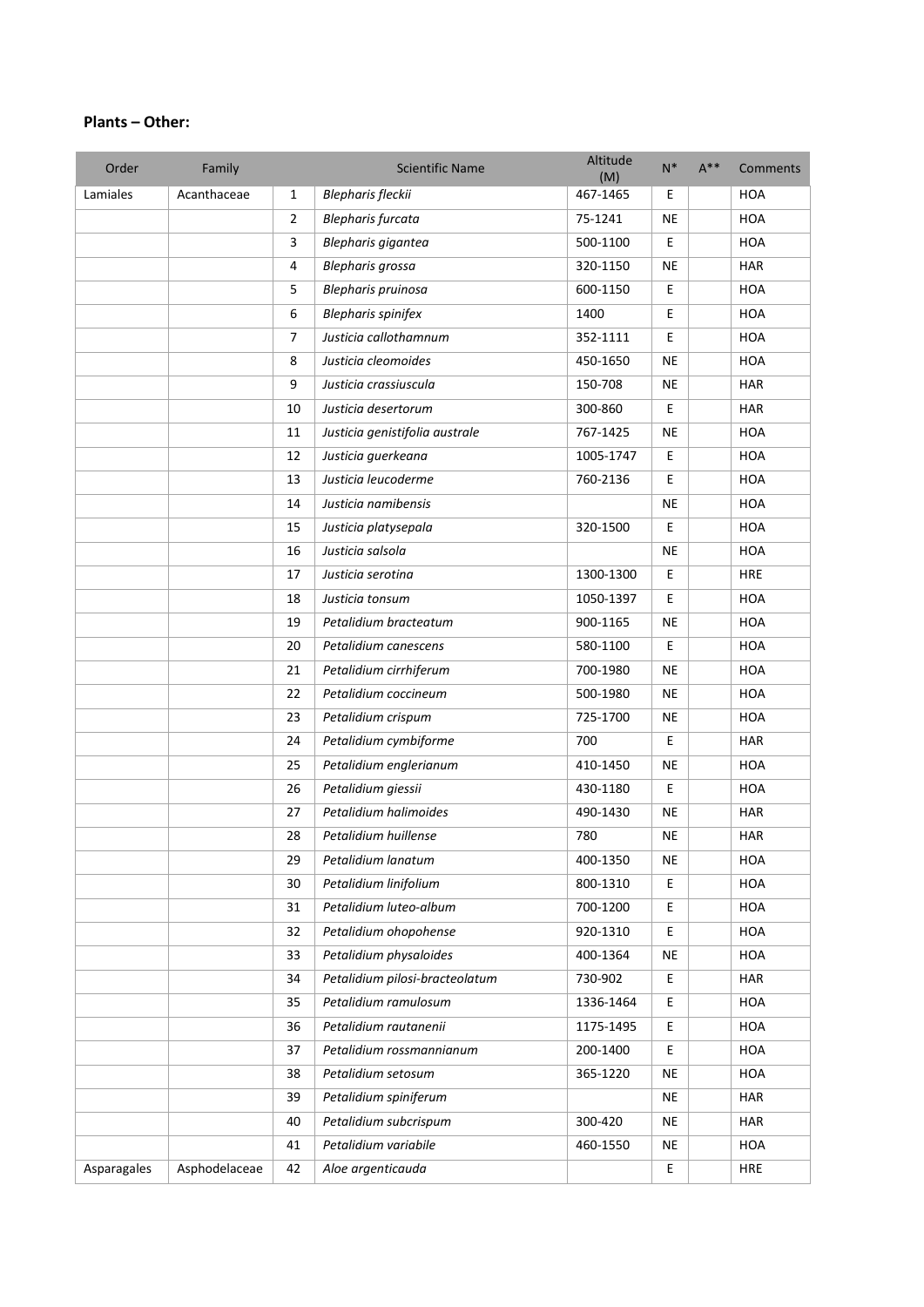#### **Plants – Other:**

| Order       | Family        |                | <b>Scientific Name</b>         | Altitude<br>(M) | $N^*$       | $A^{**}$ | Comments   |
|-------------|---------------|----------------|--------------------------------|-----------------|-------------|----------|------------|
| Lamiales    | Acanthaceae   | $\mathbf{1}$   | Blepharis fleckii              | 467-1465        | Ε           |          | <b>HOA</b> |
|             |               | $\overline{2}$ | <b>Blepharis furcata</b>       | 75-1241         | <b>NE</b>   |          | <b>HOA</b> |
|             |               | 3              | Blepharis gigantea             | 500-1100        | E           |          | <b>HOA</b> |
|             |               | 4              | Blepharis grossa               | 320-1150        | <b>NE</b>   |          | <b>HAR</b> |
|             |               | 5              | Blepharis pruinosa             | 600-1150        | E           |          | HOA        |
|             |               | 6              | <b>Blepharis spinifex</b>      | 1400            | Е           |          | <b>HOA</b> |
|             |               | $\overline{7}$ | Justicia callothamnum          | 352-1111        | Е           |          | <b>HOA</b> |
|             |               | 8              | Justicia cleomoides            | 450-1650        | <b>NE</b>   |          | <b>HOA</b> |
|             |               | 9              | Justicia crassiuscula          | 150-708         | NE          |          | <b>HAR</b> |
|             |               | 10             | Justicia desertorum            | 300-860         | E           |          | <b>HAR</b> |
|             |               | 11             | Justicia genistifolia australe | 767-1425        | NE          |          | <b>HOA</b> |
|             |               | 12             | Justicia guerkeana             | 1005-1747       | $\mathsf E$ |          | <b>HOA</b> |
|             |               | 13             | Justicia leucoderme            | 760-2136        | E           |          | <b>HOA</b> |
|             |               | 14             | Justicia namibensis            |                 | <b>NE</b>   |          | <b>HOA</b> |
|             |               | 15             | Justicia platysepala           | 320-1500        | $\mathsf E$ |          | <b>HOA</b> |
|             |               | 16             | Justicia salsola               |                 | <b>NE</b>   |          | HOA        |
|             |               | 17             | Justicia serotina              | 1300-1300       | E           |          | <b>HRE</b> |
|             |               | 18             | Justicia tonsum                | 1050-1397       | Е           |          | HOA        |
|             |               | 19             | Petalidium bracteatum          | 900-1165        | <b>NE</b>   |          | <b>HOA</b> |
|             |               | 20             | Petalidium canescens           | 580-1100        | E           |          | <b>HOA</b> |
|             |               | 21             | Petalidium cirrhiferum         | 700-1980        | <b>NE</b>   |          | <b>HOA</b> |
|             |               | 22             | Petalidium coccineum           | 500-1980        | <b>NE</b>   |          | HOA        |
|             |               | 23             | Petalidium crispum             | 725-1700        | <b>NE</b>   |          | HOA        |
|             |               | 24             | Petalidium cymbiforme          | 700             | E           |          | <b>HAR</b> |
|             |               | 25             | Petalidium englerianum         | 410-1450        | NE          |          | HOA        |
|             |               | 26             | Petalidium giessii             | 430-1180        | E           |          | <b>HOA</b> |
|             |               | 27             | Petalidium halimoides          | 490-1430        | <b>NE</b>   |          | <b>HAR</b> |
|             |               | 28             | Petalidium huillense           | 780             | <b>NE</b>   |          | <b>HAR</b> |
|             |               | 29             | Petalidium lanatum             | 400-1350        | <b>NE</b>   |          | <b>HOA</b> |
|             |               | 30             | Petalidium linifolium          | 800-1310        | E           |          | HOA        |
|             |               | 31             | Petalidium luteo-album         | 700-1200        | Е           |          | HOA        |
|             |               | 32             | Petalidium ohopohense          | 920-1310        | E           |          | HOA        |
|             |               | 33             | Petalidium physaloides         | 400-1364        | <b>NE</b>   |          | HOA        |
|             |               | 34             | Petalidium pilosi-bracteolatum | 730-902         | E           |          | HAR        |
|             |               | 35             | Petalidium ramulosum           | 1336-1464       | E           |          | HOA        |
|             |               | 36             | Petalidium rautanenii          | 1175-1495       | Е           |          | <b>HOA</b> |
|             |               | 37             | Petalidium rossmannianum       | 200-1400        | E           |          | HOA        |
|             |               | 38             | Petalidium setosum             | 365-1220        | NE          |          | HOA        |
|             |               | 39             | Petalidium spiniferum          |                 | NE          |          | <b>HAR</b> |
|             |               | 40             | Petalidium subcrispum          | 300-420         | <b>NE</b>   |          | <b>HAR</b> |
|             |               | 41             | Petalidium variabile           | 460-1550        | <b>NE</b>   |          | HOA        |
| Asparagales | Asphodelaceae | 42             | Aloe argenticauda              |                 | $\mathsf E$ |          | <b>HRE</b> |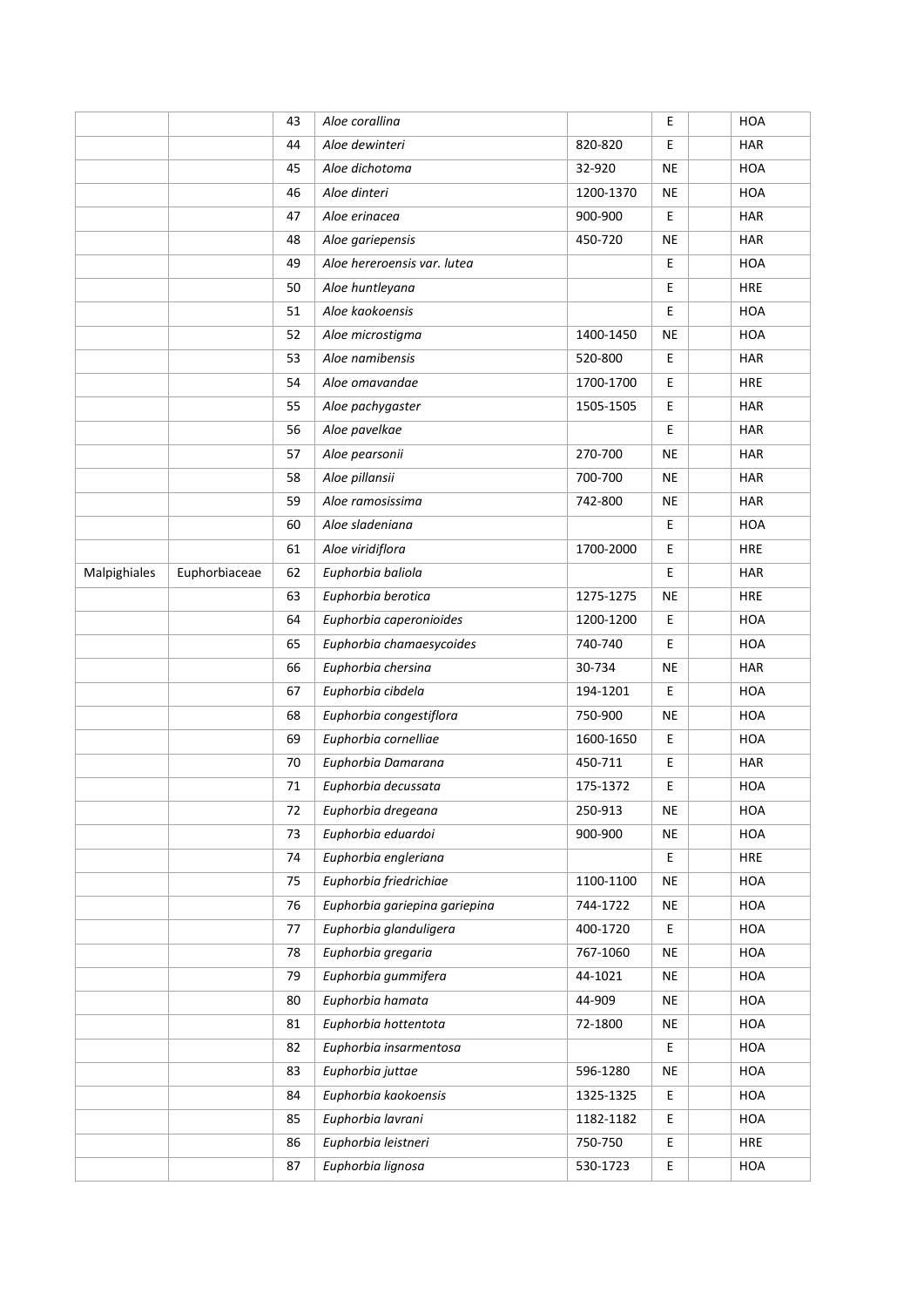|              |               | 43 | Aloe corallina                |           | E         | <b>HOA</b> |
|--------------|---------------|----|-------------------------------|-----------|-----------|------------|
|              |               | 44 | Aloe dewinteri                | 820-820   | E         | <b>HAR</b> |
|              |               | 45 | Aloe dichotoma                | 32-920    | <b>NE</b> | <b>HOA</b> |
|              |               | 46 | Aloe dinteri                  | 1200-1370 | <b>NE</b> | <b>HOA</b> |
|              |               | 47 | Aloe erinacea                 | 900-900   | Ε         | <b>HAR</b> |
|              |               | 48 | Aloe gariepensis              | 450-720   | <b>NE</b> | <b>HAR</b> |
|              |               | 49 | Aloe hereroensis var. lutea   |           | Ε         | <b>HOA</b> |
|              |               | 50 | Aloe huntleyana               |           | Ε         | <b>HRE</b> |
|              |               | 51 | Aloe kaokoensis               |           | Ε         | <b>HOA</b> |
|              |               | 52 | Aloe microstigma              | 1400-1450 | NE        | <b>HOA</b> |
|              |               | 53 | Aloe namibensis               | 520-800   | E         | <b>HAR</b> |
|              |               | 54 | Aloe omavandae                | 1700-1700 | Ε         | <b>HRE</b> |
|              |               | 55 | Aloe pachygaster              | 1505-1505 | Ε         | <b>HAR</b> |
|              |               | 56 | Aloe pavelkae                 |           | Ε         | <b>HAR</b> |
|              |               | 57 | Aloe pearsonii                | 270-700   | <b>NE</b> | <b>HAR</b> |
|              |               | 58 | Aloe pillansii                | 700-700   | NE        | <b>HAR</b> |
|              |               | 59 | Aloe ramosissima              | 742-800   | NE        | <b>HAR</b> |
|              |               | 60 | Aloe sladeniana               |           | Ε         | HOA        |
|              |               | 61 | Aloe viridiflora              | 1700-2000 | Ε         | <b>HRE</b> |
| Malpighiales | Euphorbiaceae | 62 | Euphorbia baliola             |           | Е         | <b>HAR</b> |
|              |               | 63 | Euphorbia berotica            | 1275-1275 | <b>NE</b> | <b>HRE</b> |
|              |               | 64 | Euphorbia caperonioides       | 1200-1200 | Ε         | <b>HOA</b> |
|              |               | 65 | Euphorbia chamaesycoides      | 740-740   | Ε         | HOA        |
|              |               | 66 | Euphorbia chersina            | 30-734    | NE        | <b>HAR</b> |
|              |               | 67 | Euphorbia cibdela             | 194-1201  | Ε         | <b>HOA</b> |
|              |               | 68 | Euphorbia congestiflora       | 750-900   | <b>NE</b> | <b>HOA</b> |
|              |               | 69 | Euphorbia cornelliae          | 1600-1650 | Е         | HOA        |
|              |               | 70 | Euphorbia Damarana            | 450-711   | Ε         | <b>HAR</b> |
|              |               | 71 | Euphorbia decussata           | 175-1372  | Ε         | <b>HOA</b> |
|              |               | 72 | Euphorbia dregeana            | 250-913   | <b>NE</b> | <b>HOA</b> |
|              |               | 73 | Euphorbia eduardoi            | 900-900   | NE        | <b>HOA</b> |
|              |               | 74 | Euphorbia engleriana          |           | Е         | <b>HRE</b> |
|              |               | 75 | Euphorbia friedrichiae        | 1100-1100 | <b>NE</b> | HOA        |
|              |               | 76 | Euphorbia gariepina gariepina | 744-1722  | <b>NE</b> | HOA        |
|              |               | 77 | Euphorbia glanduligera        | 400-1720  | E         | HOA        |
|              |               | 78 | Euphorbia gregaria            | 767-1060  | <b>NE</b> | HOA        |
|              |               | 79 | Euphorbia gummifera           | 44-1021   | NE        | HOA        |
|              |               | 80 | Euphorbia hamata              | 44-909    | NE        | HOA        |
|              |               | 81 | Euphorbia hottentota          | 72-1800   | NE        | HOA        |
|              |               | 82 | Euphorbia insarmentosa        |           | E         | HOA        |
|              |               | 83 | Euphorbia juttae              | 596-1280  | <b>NE</b> | HOA        |
|              |               | 84 | Euphorbia kaokoensis          | 1325-1325 | Ε         | HOA        |
|              |               | 85 | Euphorbia lavrani             | 1182-1182 | Ε         | HOA        |
|              |               | 86 | Euphorbia leistneri           | 750-750   | Ε         | <b>HRE</b> |
|              |               | 87 | Euphorbia lignosa             | 530-1723  | Ε         | HOA        |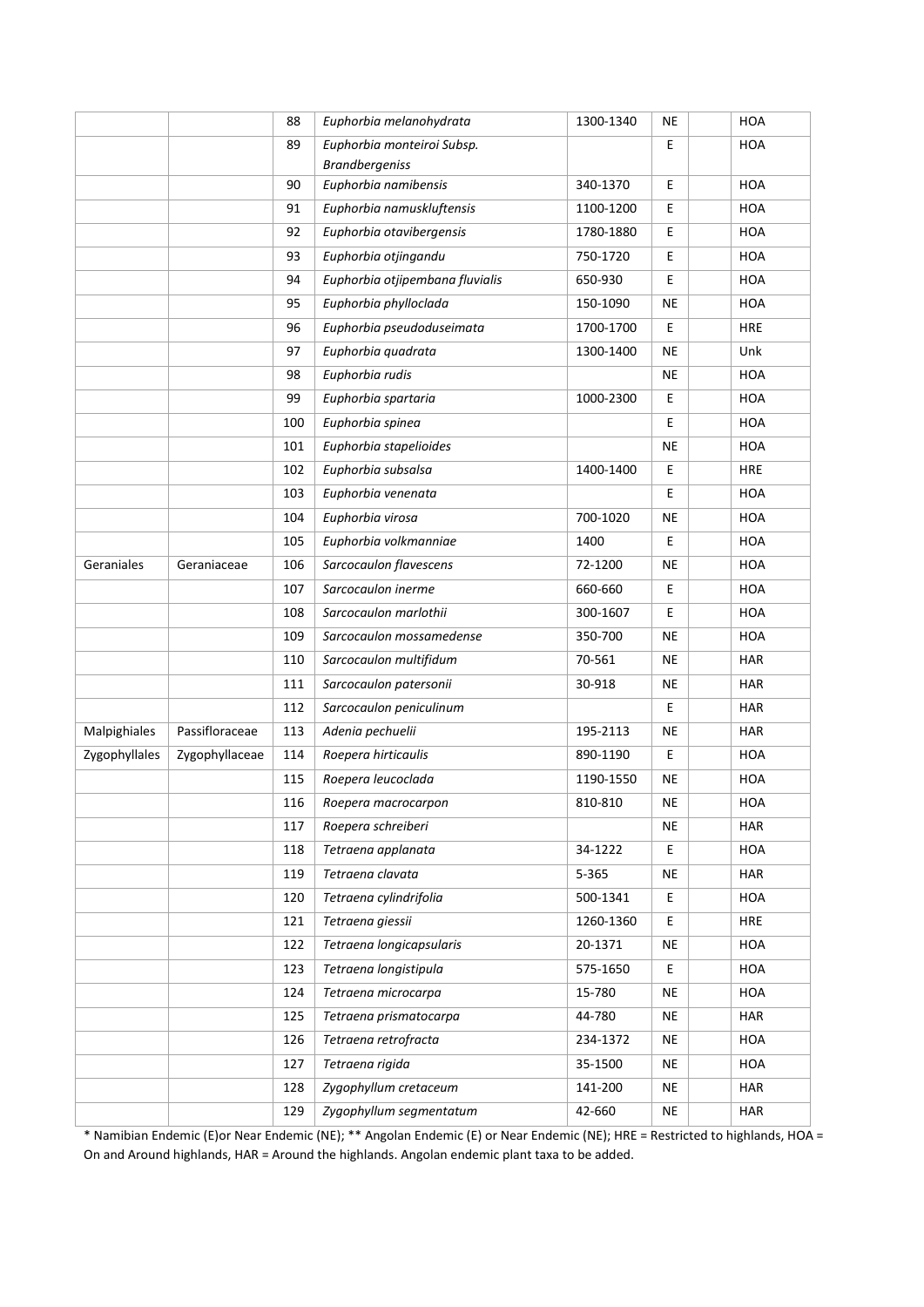|               |                | 88  | Euphorbia melanohydrata         | 1300-1340 | ΝE        | <b>HOA</b> |
|---------------|----------------|-----|---------------------------------|-----------|-----------|------------|
|               |                | 89  | Euphorbia monteiroi Subsp.      |           | Е         | <b>HOA</b> |
|               |                |     | <b>Brandbergeniss</b>           |           |           |            |
|               |                | 90  | Euphorbia namibensis            | 340-1370  | Е         | <b>HOA</b> |
|               |                | 91  | Euphorbia namuskluftensis       | 1100-1200 | E         | <b>HOA</b> |
|               |                | 92  | Euphorbia otavibergensis        | 1780-1880 | E         | <b>HOA</b> |
|               |                | 93  | Euphorbia otjingandu            | 750-1720  | Е         | <b>HOA</b> |
|               |                | 94  | Euphorbia otjipembana fluvialis | 650-930   | Е         | HOA        |
|               |                | 95  | Euphorbia phylloclada           | 150-1090  | <b>NE</b> | <b>HOA</b> |
|               |                | 96  | Euphorbia pseudoduseimata       | 1700-1700 | Е         | <b>HRE</b> |
|               |                | 97  | Euphorbia quadrata              | 1300-1400 | ΝE        | Unk        |
|               |                | 98  | Euphorbia rudis                 |           | NE        | <b>HOA</b> |
|               |                | 99  | Euphorbia spartaria             | 1000-2300 | Е         | HOA        |
|               |                | 100 | Euphorbia spinea                |           | E         | HOA        |
|               |                | 101 | Euphorbia stapelioides          |           | NE        | <b>HOA</b> |
|               |                | 102 | Euphorbia subsalsa              | 1400-1400 | E         | <b>HRE</b> |
|               |                | 103 | Euphorbia venenata              |           | Е         | <b>HOA</b> |
|               |                | 104 | Euphorbia virosa                | 700-1020  | ΝE        | <b>HOA</b> |
|               |                | 105 | Euphorbia volkmanniae           | 1400      | E         | <b>HOA</b> |
| Geraniales    | Geraniaceae    | 106 | Sarcocaulon flavescens          | 72-1200   | ΝE        | HOA        |
|               |                | 107 | Sarcocaulon inerme              | 660-660   | E         | <b>HOA</b> |
|               |                | 108 | Sarcocaulon marlothii           | 300-1607  | Е         | <b>HOA</b> |
|               |                | 109 | Sarcocaulon mossamedense        | 350-700   | ΝE        | HOA        |
|               |                | 110 | Sarcocaulon multifidum          | 70-561    | NE        | <b>HAR</b> |
|               |                | 111 | Sarcocaulon patersonii          | 30-918    | ΝE        | <b>HAR</b> |
|               |                | 112 | Sarcocaulon peniculinum         |           | Е         | <b>HAR</b> |
| Malpighiales  | Passifloraceae | 113 | Adenia pechuelii                | 195-2113  | ΝE        | <b>HAR</b> |
| Zygophyllales | Zygophyllaceae | 114 | Roepera hirticaulis             | 890-1190  | Е         | <b>HOA</b> |
|               |                | 115 | Roepera leucoclada              | 1190-1550 | ΝE        | HOA        |
|               |                | 116 | Roepera macrocarpon             | 810-810   | NE        | <b>HOA</b> |
|               |                | 117 | Roepera schreiberi              |           | ΝE        | HAR        |
|               |                | 118 | Tetraena applanata              | 34-1222   | E         | <b>HOA</b> |
|               |                | 119 | Tetraena clavata                | 5-365     | NE        | HAR        |
|               |                | 120 | Tetraena cylindrifolia          | 500-1341  | Е         | HOA        |
|               |                | 121 | Tetraena giessii                | 1260-1360 | Е         | <b>HRE</b> |
|               |                | 122 | Tetraena longicapsularis        | 20-1371   | ΝE        | <b>HOA</b> |
|               |                | 123 | Tetraena longistipula           | 575-1650  | Е         | HOA        |
|               |                | 124 | Tetraena microcarpa             | 15-780    | <b>NE</b> | HOA        |
|               |                | 125 | Tetraena prismatocarpa          | 44-780    | ΝE        | <b>HAR</b> |
|               |                | 126 | Tetraena retrofracta            | 234-1372  | NE        | HOA        |
|               |                | 127 | Tetraena rigida                 | 35-1500   | ΝE        | HOA        |
|               |                | 128 | Zygophyllum cretaceum           | 141-200   | <b>NE</b> | HAR        |
|               |                | 129 | Zygophyllum segmentatum         | 42-660    | NE        | <b>HAR</b> |

\* Namibian Endemic (E)or Near Endemic (NE); \*\* Angolan Endemic (E) or Near Endemic (NE); HRE = Restricted to highlands, HOA = On and Around highlands, HAR = Around the highlands. Angolan endemic plant taxa to be added.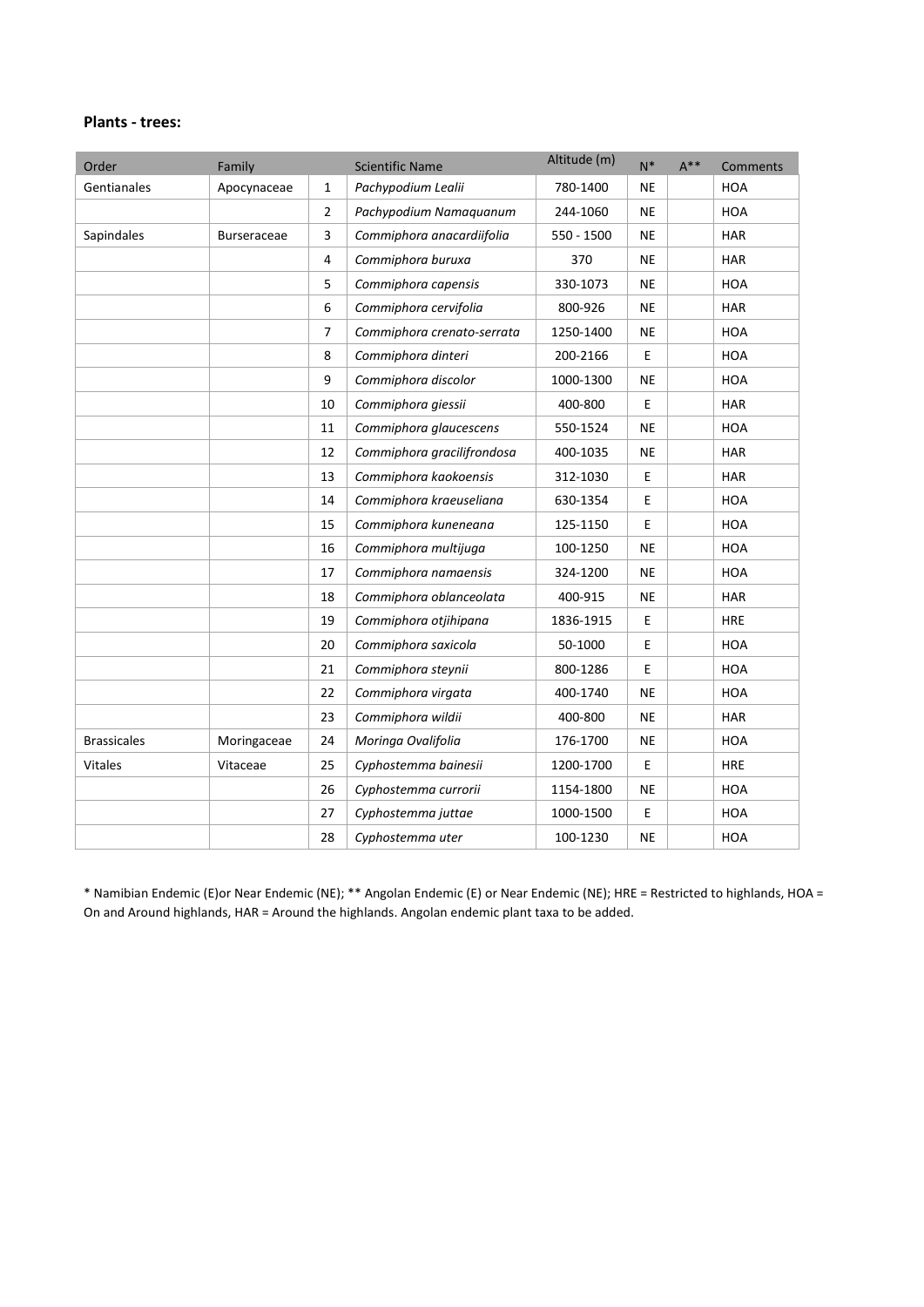#### **Plants - trees:**

| Order              | Family             |              | <b>Scientific Name</b>     | Altitude (m) | $N^*$     | $A^{**}$ | Comments   |
|--------------------|--------------------|--------------|----------------------------|--------------|-----------|----------|------------|
| Gentianales        | Apocynaceae        | $\mathbf{1}$ | Pachypodium Lealii         | 780-1400     | <b>NE</b> |          | <b>HOA</b> |
|                    |                    | 2            | Pachypodium Namaquanum     | 244-1060     | <b>NE</b> |          | <b>HOA</b> |
| Sapindales         | <b>Burseraceae</b> | 3            | Commiphora anacardiifolia  | 550 - 1500   | <b>NE</b> |          | <b>HAR</b> |
|                    |                    | 4            | Commiphora buruxa          | 370          | <b>NE</b> |          | <b>HAR</b> |
|                    |                    | 5            | Commiphora capensis        | 330-1073     | <b>NE</b> |          | <b>HOA</b> |
|                    |                    | 6            | Commiphora cervifolia      | 800-926      | <b>NE</b> |          | <b>HAR</b> |
|                    |                    | 7            | Commiphora crenato-serrata | 1250-1400    | <b>NE</b> |          | <b>HOA</b> |
|                    |                    | 8            | Commiphora dinteri         | 200-2166     | E         |          | <b>HOA</b> |
|                    |                    | 9            | Commiphora discolor        | 1000-1300    | <b>NE</b> |          | <b>HOA</b> |
|                    |                    | 10           | Commiphora giessii         | 400-800      | E         |          | <b>HAR</b> |
|                    |                    | 11           | Commiphora glaucescens     | 550-1524     | <b>NE</b> |          | <b>HOA</b> |
|                    |                    | 12           | Commiphora gracilifrondosa | 400-1035     | <b>NE</b> |          | <b>HAR</b> |
|                    |                    | 13           | Commiphora kaokoensis      | 312-1030     | E         |          | <b>HAR</b> |
|                    |                    | 14           | Commiphora kraeuseliana    | 630-1354     | E         |          | <b>HOA</b> |
|                    |                    | 15           | Commiphora kuneneana       | 125-1150     | E         |          | <b>HOA</b> |
|                    |                    | 16           | Commiphora multijuga       | 100-1250     | <b>NE</b> |          | <b>HOA</b> |
|                    |                    | 17           | Commiphora namaensis       | 324-1200     | <b>NE</b> |          | <b>HOA</b> |
|                    |                    | 18           | Commiphora oblanceolata    | 400-915      | <b>NE</b> |          | <b>HAR</b> |
|                    |                    | 19           | Commiphora otjihipana      | 1836-1915    | E         |          | <b>HRE</b> |
|                    |                    | 20           | Commiphora saxicola        | 50-1000      | E         |          | <b>HOA</b> |
|                    |                    | 21           | Commiphora steynii         | 800-1286     | E         |          | <b>HOA</b> |
|                    |                    | 22           | Commiphora virgata         | 400-1740     | <b>NE</b> |          | <b>HOA</b> |
|                    |                    | 23           | Commiphora wildii          | 400-800      | <b>NE</b> |          | <b>HAR</b> |
| <b>Brassicales</b> | Moringaceae        | 24           | Moringa Ovalifolia         | 176-1700     | <b>NE</b> |          | <b>HOA</b> |
| <b>Vitales</b>     | Vitaceae           | 25           | Cyphostemma bainesii       | 1200-1700    | E         |          | <b>HRE</b> |
|                    |                    | 26           | Cyphostemma currorii       | 1154-1800    | <b>NE</b> |          | <b>HOA</b> |
|                    |                    | 27           | Cyphostemma juttae         | 1000-1500    | E         |          | <b>HOA</b> |
|                    |                    | 28           | Cyphostemma uter           | 100-1230     | <b>NE</b> |          | <b>HOA</b> |

\* Namibian Endemic (E)or Near Endemic (NE); \*\* Angolan Endemic (E) or Near Endemic (NE); HRE = Restricted to highlands, HOA = On and Around highlands, HAR = Around the highlands. Angolan endemic plant taxa to be added.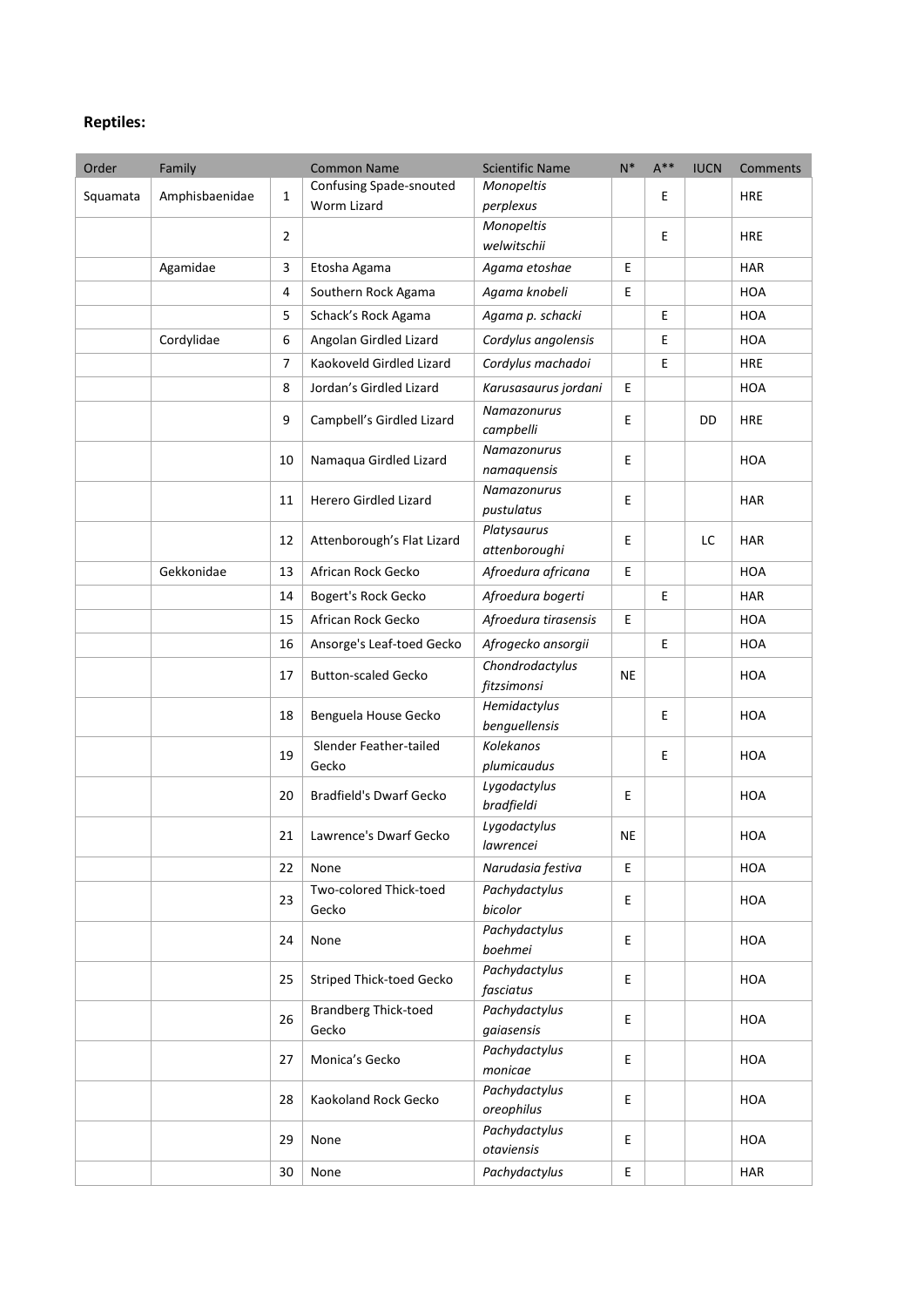## **Reptiles:**

| Order    | Family         |                | <b>Common Name</b>                   | <b>Scientific Name</b>         | $N^*$     | $A***$ | <b>IUCN</b> | Comments   |
|----------|----------------|----------------|--------------------------------------|--------------------------------|-----------|--------|-------------|------------|
| Squamata | Amphisbaenidae | 1              | <b>Confusing Spade-snouted</b>       | Monopeltis                     |           | Е      |             | <b>HRE</b> |
|          |                |                | Worm Lizard                          | perplexus                      |           |        |             |            |
|          |                | $\overline{2}$ |                                      | Monopeltis<br>welwitschii      |           | E      |             | <b>HRE</b> |
|          | Agamidae       | 3              | Etosha Agama                         | Agama etoshae                  | E         |        |             | <b>HAR</b> |
|          | 4              |                | Southern Rock Agama                  | Agama knobeli                  | E         |        |             | <b>HOA</b> |
|          |                | 5              | Schack's Rock Agama                  | Agama p. schacki               |           | E      |             | <b>HOA</b> |
|          | Cordylidae     | 6              | Angolan Girdled Lizard               | Cordylus angolensis            |           | Е      |             | <b>HOA</b> |
|          |                | 7              | Kaokoveld Girdled Lizard             | Cordylus machadoi              |           | E      |             | <b>HRE</b> |
|          |                | 8              | Jordan's Girdled Lizard              | Karusasaurus jordani           | E         |        |             | <b>HOA</b> |
|          |                | 9              | Campbell's Girdled Lizard            | Namazonurus<br>campbelli       | E         |        | DD          | <b>HRE</b> |
|          |                | 10             | Namaqua Girdled Lizard               | Namazonurus<br>namaquensis     | E         |        |             | <b>HOA</b> |
|          |                | 11             | <b>Herero Girdled Lizard</b>         | Namazonurus<br>pustulatus      | E         |        |             | <b>HAR</b> |
|          |                | 12             | Attenborough's Flat Lizard           | Platysaurus<br>attenboroughi   | E         |        | LC          | <b>HAR</b> |
|          | Gekkonidae     | 13             | African Rock Gecko                   | Afroedura africana             | E         |        |             | <b>HOA</b> |
|          |                | 14             | Bogert's Rock Gecko                  | Afroedura bogerti              |           | E      |             | <b>HAR</b> |
|          |                | 15             | African Rock Gecko                   | Afroedura tirasensis           | E         |        |             | HOA        |
|          |                | 16             | Ansorge's Leaf-toed Gecko            | Afrogecko ansorgii             |           | E      |             | <b>HOA</b> |
|          |                | 17             | <b>Button-scaled Gecko</b>           | Chondrodactylus<br>fitzsimonsi | NE        |        |             | <b>HOA</b> |
|          |                | 18             | Benguela House Gecko                 | Hemidactylus<br>benguellensis  |           | Е      |             | <b>HOA</b> |
|          |                | 19             | Slender Feather-tailed<br>Gecko      | Kolekanos<br>plumicaudus       |           | Е      |             | <b>HOA</b> |
|          |                | 20             | <b>Bradfield's Dwarf Gecko</b>       | Lygodactylus<br>bradfieldi     | E         |        |             | <b>HOA</b> |
|          |                | 21             | Lawrence's Dwarf Gecko               | Lygodactylus<br>lawrencei      | <b>NE</b> |        |             | <b>HOA</b> |
|          |                | 22             | None                                 | Narudasia festiva              | E         |        |             | <b>HOA</b> |
|          |                | 23             | Two-colored Thick-toed<br>Gecko      | Pachydactylus<br>bicolor       | E         |        |             | HOA        |
|          |                | 24             | None                                 | Pachydactylus<br>boehmei       | E         |        |             | <b>HOA</b> |
|          |                | 25             | <b>Striped Thick-toed Gecko</b>      | Pachydactylus<br>fasciatus     | E         |        |             | <b>HOA</b> |
|          |                | 26             | <b>Brandberg Thick-toed</b><br>Gecko | Pachydactylus<br>gaiasensis    | E         |        |             | <b>HOA</b> |
|          |                | 27             | Monica's Gecko                       | Pachydactylus<br>monicae       | E         |        |             | HOA        |
|          |                | 28             | Kaokoland Rock Gecko                 | Pachydactylus<br>oreophilus    | E.        |        |             | <b>HOA</b> |
|          |                | 29             | None                                 | Pachydactylus<br>otaviensis    | E         |        |             | <b>HOA</b> |
|          |                | 30             | None                                 | Pachydactylus                  | E         |        |             | <b>HAR</b> |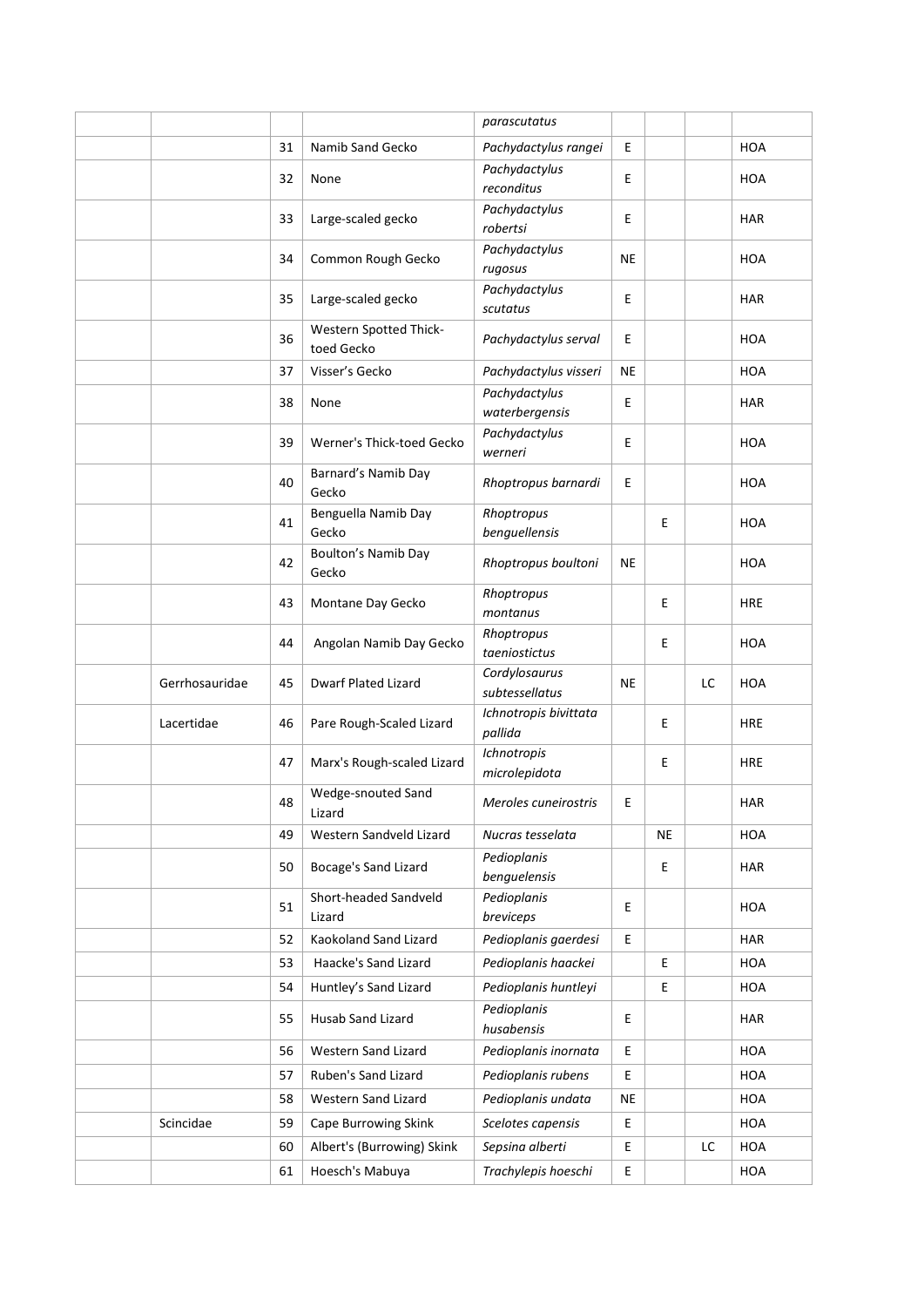|                |    |                                      | parascutatus                     |           |    |    |            |
|----------------|----|--------------------------------------|----------------------------------|-----------|----|----|------------|
|                | 31 | Namib Sand Gecko                     | Pachydactylus rangei             | E         |    |    | <b>HOA</b> |
|                | 32 | None                                 | Pachydactylus<br>reconditus      | E         |    |    | HOA        |
|                | 33 | Large-scaled gecko                   | Pachydactylus<br>robertsi        | E         |    |    | <b>HAR</b> |
|                | 34 | Common Rough Gecko                   | Pachydactylus<br>rugosus         | <b>NE</b> |    |    | <b>HOA</b> |
|                | 35 | Large-scaled gecko                   | Pachydactylus<br>scutatus        | E         |    |    | <b>HAR</b> |
|                | 36 | Western Spotted Thick-<br>toed Gecko | Pachydactylus serval             | E         |    |    | <b>HOA</b> |
|                | 37 | Visser's Gecko                       | Pachydactylus visseri            | <b>NE</b> |    |    | <b>HOA</b> |
|                | 38 | None                                 | Pachydactylus<br>waterbergensis  | E         |    |    | <b>HAR</b> |
|                | 39 | Werner's Thick-toed Gecko            | Pachydactylus<br>werneri         | E         |    |    | <b>HOA</b> |
|                | 40 | Barnard's Namib Day<br>Gecko         | Rhoptropus barnardi              | E         |    |    | <b>HOA</b> |
|                | 41 | Benguella Namib Day<br>Gecko         | Rhoptropus<br>benguellensis      |           | E  |    | HOA        |
|                | 42 | Boulton's Namib Day<br>Gecko         | Rhoptropus boultoni              | NE        |    |    | <b>HOA</b> |
|                | 43 | Montane Day Gecko                    | Rhoptropus<br>montanus           |           | Ε  |    | <b>HRE</b> |
|                | 44 | Angolan Namib Day Gecko              | Rhoptropus<br>taeniostictus      |           | Е  |    | <b>HOA</b> |
| Gerrhosauridae | 45 | <b>Dwarf Plated Lizard</b>           | Cordylosaurus<br>subtessellatus  | NE        |    | LC | <b>HOA</b> |
| Lacertidae     | 46 | Pare Rough-Scaled Lizard             | Ichnotropis bivittata<br>pallida |           | E  |    | <b>HRE</b> |
|                | 47 | Marx's Rough-scaled Lizard           | Ichnotropis<br>microlepidota     |           | Е  |    | <b>HRE</b> |
|                | 48 | Wedge-snouted Sand<br>Lizard         | Meroles cuneirostris             | E         |    |    | HAR        |
|                | 49 | Western Sandveld Lizard              | Nucras tesselata                 |           | ΝE |    | HOA        |
|                | 50 | Bocage's Sand Lizard                 | Pedioplanis<br>benguelensis      |           | Ε  |    | <b>HAR</b> |
|                | 51 | Short-headed Sandveld<br>Lizard      | Pedioplanis<br>breviceps         | E         |    |    | <b>HOA</b> |
|                | 52 | Kaokoland Sand Lizard                | Pedioplanis gaerdesi             | E         |    |    | <b>HAR</b> |
|                | 53 | Haacke's Sand Lizard                 | Pedioplanis haackei              |           | Ε  |    | HOA        |
|                | 54 | Huntley's Sand Lizard                | Pedioplanis huntleyi             |           | Е  |    | HOA        |
|                | 55 | Husab Sand Lizard                    | Pedioplanis<br>husabensis        | E         |    |    | <b>HAR</b> |
|                | 56 | Western Sand Lizard                  | Pedioplanis inornata             | E         |    |    | <b>HOA</b> |
|                | 57 | Ruben's Sand Lizard                  | Pedioplanis rubens               | E         |    |    | HOA        |
|                | 58 | Western Sand Lizard                  | Pedioplanis undata               | <b>NE</b> |    |    | HOA        |
| Scincidae      | 59 | Cape Burrowing Skink                 | Scelotes capensis                | Е         |    |    | HOA        |
|                | 60 | Albert's (Burrowing) Skink           | Sepsina alberti                  | E         |    | LC | HOA        |
|                | 61 | Hoesch's Mabuya                      | Trachylepis hoeschi              | E         |    |    | HOA        |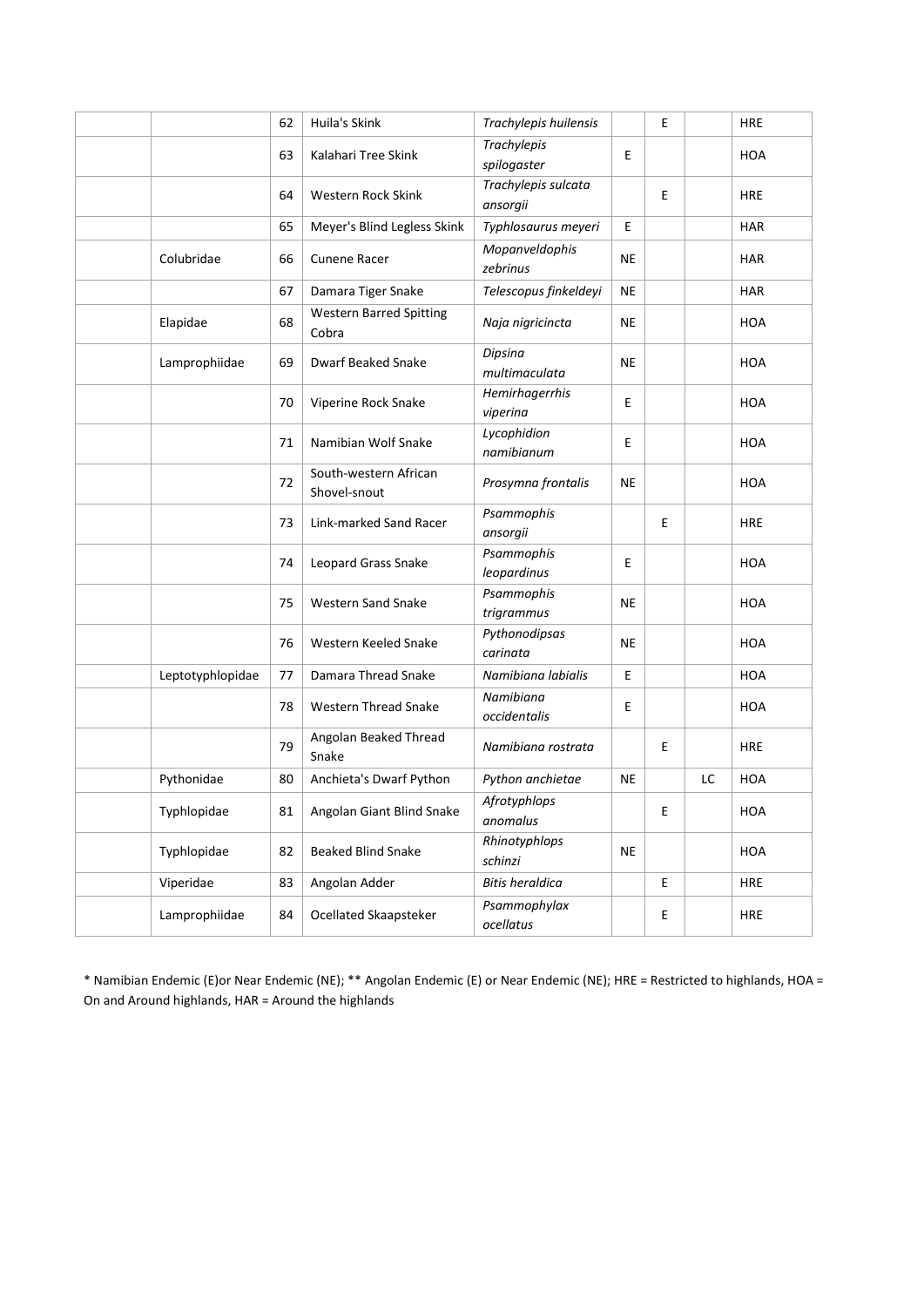|                  | 62 | Huila's Skink                           | Trachylepis huilensis           |           | E |    | <b>HRE</b> |
|------------------|----|-----------------------------------------|---------------------------------|-----------|---|----|------------|
|                  | 63 | Kalahari Tree Skink                     | Trachylepis<br>spilogaster      | E         |   |    | <b>HOA</b> |
|                  | 64 | Western Rock Skink                      | Trachylepis sulcata<br>ansorgii |           | E |    | <b>HRE</b> |
|                  | 65 | Meyer's Blind Legless Skink             | Typhlosaurus meyeri             | Е         |   |    | <b>HAR</b> |
| Colubridae       | 66 | Cunene Racer                            | Mopanveldophis<br>zebrinus      | <b>NE</b> |   |    | <b>HAR</b> |
|                  | 67 | Damara Tiger Snake                      | Telescopus finkeldeyi           | NE        |   |    | <b>HAR</b> |
| Elapidae         | 68 | <b>Western Barred Spitting</b><br>Cobra | Naja nigricincta                | NE        |   |    | <b>HOA</b> |
| Lamprophiidae    | 69 | Dwarf Beaked Snake                      | Dipsina<br>multimaculata        | NE        |   |    | <b>HOA</b> |
|                  | 70 | Viperine Rock Snake                     | Hemirhagerrhis<br>viperina      | Е         |   |    | <b>HOA</b> |
|                  | 71 | Namibian Wolf Snake                     | Lycophidion<br>namibianum       | E         |   |    | <b>HOA</b> |
|                  | 72 | South-western African<br>Shovel-snout   | Prosymna frontalis              | <b>NE</b> |   |    | <b>HOA</b> |
|                  | 73 | Link-marked Sand Racer                  | Psammophis<br>ansorgii          |           | E |    | <b>HRE</b> |
|                  | 74 | Leopard Grass Snake                     | Psammophis<br>leopardinus       | Е         |   |    | <b>HOA</b> |
|                  | 75 | <b>Western Sand Snake</b>               | Psammophis<br>trigrammus        | NE        |   |    | <b>HOA</b> |
|                  | 76 | Western Keeled Snake                    | Pythonodipsas<br>carinata       | NE        |   |    | <b>HOA</b> |
| Leptotyphlopidae | 77 | Damara Thread Snake                     | Namibiana labialis              | E         |   |    | <b>HOA</b> |
|                  | 78 | <b>Western Thread Snake</b>             | Namibiana<br>occidentalis       | Е         |   |    | <b>HOA</b> |
|                  | 79 | Angolan Beaked Thread<br>Snake          | Namibiana rostrata              |           | Ε |    | <b>HRE</b> |
| Pythonidae       | 80 | Anchieta's Dwarf Python                 | Python anchietae                | NE        |   | LC | <b>HOA</b> |
| Typhlopidae      | 81 | Angolan Giant Blind Snake               | Afrotyphlops<br>anomalus        |           | Е |    | HOA        |
| Typhlopidae      | 82 | <b>Beaked Blind Snake</b>               | Rhinotyphlops<br>schinzi        | NE        |   |    | HOA        |
| Viperidae        | 83 | Angolan Adder                           | <b>Bitis heraldica</b>          |           | E |    | <b>HRE</b> |
| Lamprophiidae    | 84 | Ocellated Skaapsteker                   | Psammophylax<br>ocellatus       |           | E |    | <b>HRE</b> |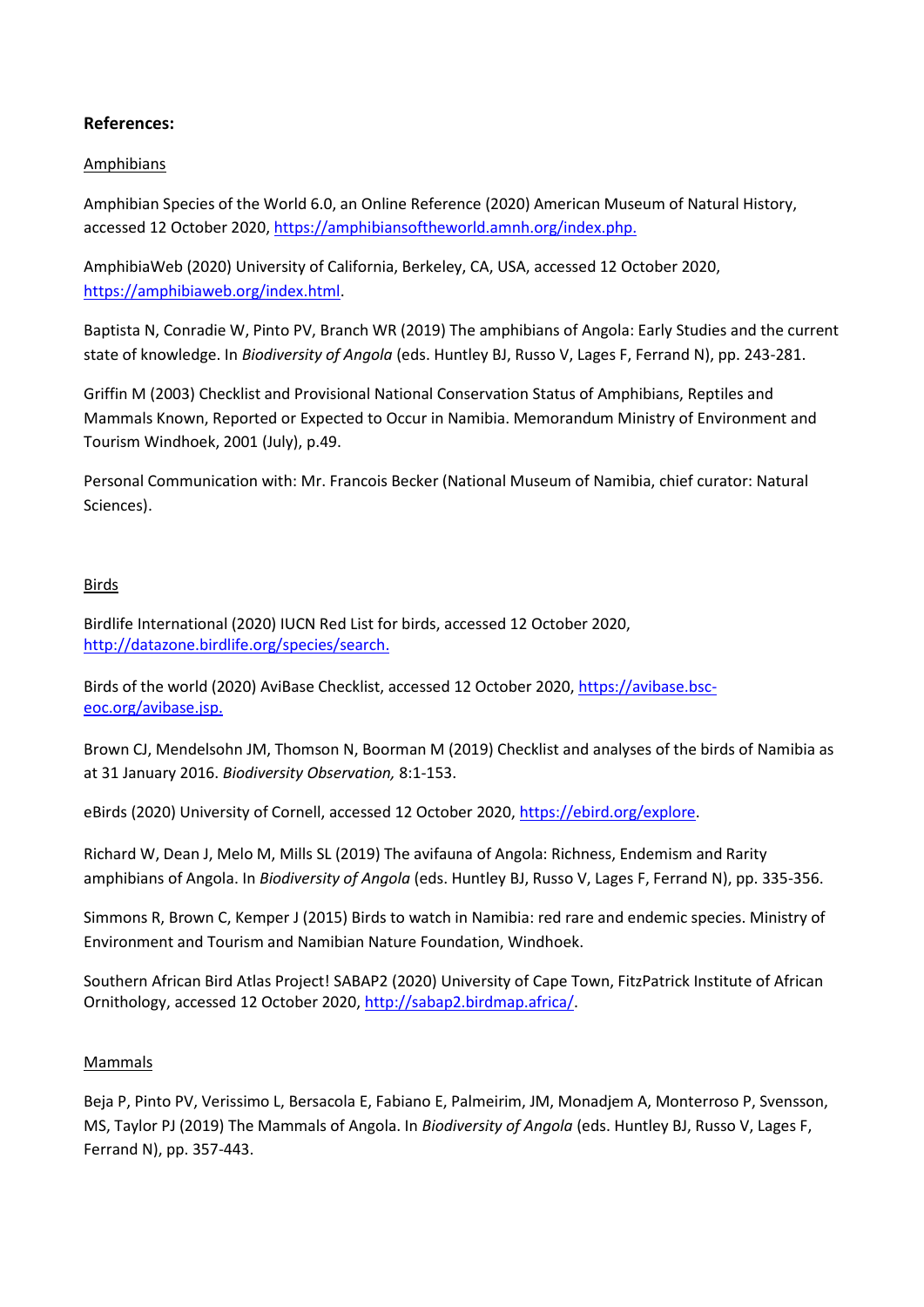## **References:**

#### Amphibians

Amphibian Species of the World 6.0, an Online Reference (2020) American Museum of Natural History, accessed 12 October 2020[, https://amphibiansoftheworld.amnh.org/index.php.](https://amphibiansoftheworld.amnh.org/index.php)

AmphibiaWeb (2020) University of California, Berkeley, CA, USA, accessed 12 October 2020, [https://amphibiaweb.org/index.html.](https://amphibiaweb.org/index.html)

Baptista N, Conradie W, Pinto PV, Branch WR (2019) The amphibians of Angola: Early Studies and the current state of knowledge. In *Biodiversity of Angola* (eds. Huntley BJ, Russo V, Lages F, Ferrand N), pp. 243-281.

Griffin M (2003) Checklist and Provisional National Conservation Status of Amphibians, Reptiles and Mammals Known, Reported or Expected to Occur in Namibia. Memorandum Ministry of Environment and Tourism Windhoek, 2001 (July), p.49.

Personal Communication with: Mr. Francois Becker (National Museum of Namibia, chief curator: Natural Sciences).

## Birds

Birdlife International (2020) IUCN Red List for birds, accessed 12 October 2020, [http://datazone.birdlife.org/species/search.](http://datazone.birdlife.org/species/search)

Birds of the world (2020) AviBase Checklist, accessed 12 October 2020[, https://avibase.bsc](https://avibase.bsc-eoc.org/avibase.jsp)[eoc.org/avibase.jsp.](https://avibase.bsc-eoc.org/avibase.jsp)

Brown CJ, Mendelsohn JM, Thomson N, Boorman M (2019) Checklist and analyses of the birds of Namibia as at 31 January 2016. *Biodiversity Observation,* 8:1-153.

eBirds (2020) University of Cornell, accessed 12 October 2020[, https://ebird.org/explore.](https://ebird.org/explore)

Richard W, Dean J, Melo M, Mills SL (2019) The avifauna of Angola: Richness, Endemism and Rarity amphibians of Angola. In *Biodiversity of Angola* (eds. Huntley BJ, Russo V, Lages F, Ferrand N), pp. 335-356.

Simmons R, Brown C, Kemper J (2015) Birds to watch in Namibia: red rare and endemic species. Ministry of Environment and Tourism and Namibian Nature Foundation, Windhoek.

Southern African Bird Atlas Project! SABAP2 (2020) University of Cape Town, FitzPatrick Institute of African Ornithology, accessed 12 October 2020, [http://sabap2.birdmap.africa/.](http://sabap2.birdmap.africa/)

#### Mammals

Beja P, Pinto PV, Verissimo L, Bersacola E, Fabiano E, Palmeirim, JM, Monadjem A, Monterroso P, Svensson, MS, Taylor PJ (2019) The Mammals of Angola. In *Biodiversity of Angola* (eds. Huntley BJ, Russo V, Lages F, Ferrand N), pp. 357-443.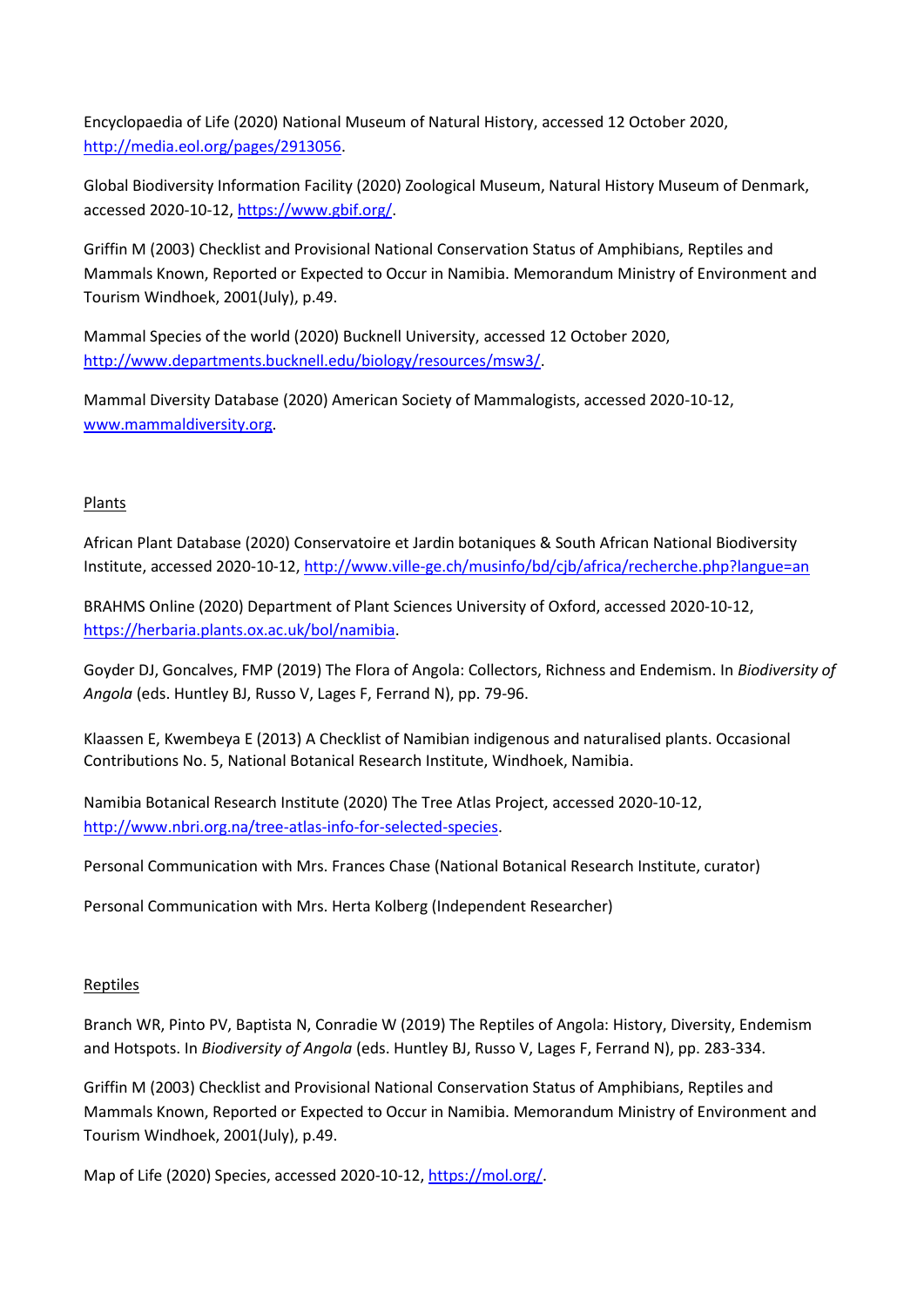Encyclopaedia of Life (2020) National Museum of Natural History, accessed 12 October 2020, [http://media.eol.org/pages/2913056.](http://media.eol.org/pages/2913056)

Global Biodiversity Information Facility (2020) Zoological Museum, Natural History Museum of Denmark, accessed 2020-10-12, [https://www.gbif.org/.](https://www.gbif.org/)

Griffin M (2003) Checklist and Provisional National Conservation Status of Amphibians, Reptiles and Mammals Known, Reported or Expected to Occur in Namibia. Memorandum Ministry of Environment and Tourism Windhoek, 2001(July), p.49.

Mammal Species of the world (2020) Bucknell University, accessed 12 October 2020, [http://www.departments.bucknell.edu/biology/resources/msw3/.](http://www.departments.bucknell.edu/biology/resources/msw3/)

Mammal Diversity Database (2020) American Society of Mammalogists, accessed 2020-10-12, [www.mammaldiversity.org.](http://www.mammaldiversity.org/)

## Plants

African Plant Database (2020) Conservatoire et Jardin botaniques & South African National Biodiversity Institute, accessed 2020-10-12,<http://www.ville-ge.ch/musinfo/bd/cjb/africa/recherche.php?langue=an>

BRAHMS Online (2020) Department of Plant Sciences University of Oxford, accessed 2020-10-12, [https://herbaria.plants.ox.ac.uk/bol/namibia.](https://herbaria.plants.ox.ac.uk/bol/namibia)

Goyder DJ, Goncalves, FMP (2019) The Flora of Angola: Collectors, Richness and Endemism. In *Biodiversity of Angola* (eds. Huntley BJ, Russo V, Lages F, Ferrand N), pp. 79-96.

Klaassen E, Kwembeya E (2013) A Checklist of Namibian indigenous and naturalised plants. Occasional Contributions No. 5, National Botanical Research Institute, Windhoek, Namibia.

Namibia Botanical Research Institute (2020) The Tree Atlas Project, accessed 2020-10-12, [http://www.nbri.org.na/tree-atlas-info-for-selected-species.](http://www.nbri.org.na/tree-atlas-info-for-selected-species)

Personal Communication with Mrs. Frances Chase (National Botanical Research Institute, curator)

Personal Communication with Mrs. Herta Kolberg (Independent Researcher)

## Reptiles

Branch WR, Pinto PV, Baptista N, Conradie W (2019) The Reptiles of Angola: History, Diversity, Endemism and Hotspots. In *Biodiversity of Angola* (eds. Huntley BJ, Russo V, Lages F, Ferrand N), pp. 283-334.

Griffin M (2003) Checklist and Provisional National Conservation Status of Amphibians, Reptiles and Mammals Known, Reported or Expected to Occur in Namibia. Memorandum Ministry of Environment and Tourism Windhoek, 2001(July), p.49.

Map of Life (2020) Species, accessed 2020-10-12, [https://mol.org/.](https://mol.org/)